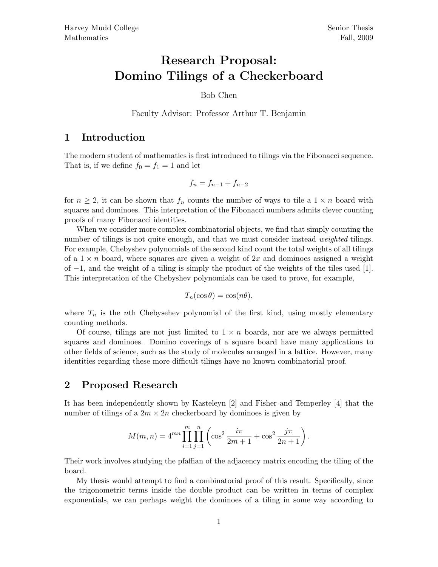## Research Proposal: Domino Tilings of a Checkerboard

Bob Chen

Faculty Advisor: Professor Arthur T. Benjamin

## 1 Introduction

The modern student of mathematics is first introduced to tilings via the Fibonacci sequence. That is, if we define  $f_0 = f_1 = 1$  and let

$$
f_n = f_{n-1} + f_{n-2}
$$

for  $n \geq 2$ , it can be shown that  $f_n$  counts the number of ways to tile a  $1 \times n$  board with squares and dominoes. This interpretation of the Fibonacci numbers admits clever counting proofs of many Fibonacci identities.

When we consider more complex combinatorial objects, we find that simply counting the number of tilings is not quite enough, and that we must consider instead *weighted* tilings. For example, Chebyshev polynomials of the second kind count the total weights of all tilings of a  $1 \times n$  board, where squares are given a weight of  $2x$  and dominoes assigned a weight of −1, and the weight of a tiling is simply the product of the weights of the tiles used [1]. This interpretation of the Chebyshev polynomials can be used to prove, for example,

$$
T_n(\cos \theta) = \cos(n\theta),
$$

where  $T_n$  is the nth Chebysehev polynomial of the first kind, using mostly elementary counting methods.

Of course, tilings are not just limited to  $1 \times n$  boards, nor are we always permitted squares and dominoes. Domino coverings of a square board have many applications to other fields of science, such as the study of molecules arranged in a lattice. However, many identities regarding these more difficult tilings have no known combinatorial proof.

## 2 Proposed Research

It has been independently shown by Kasteleyn [2] and Fisher and Temperley [4] that the number of tilings of a  $2m \times 2n$  checkerboard by dominoes is given by

$$
M(m, n) = 4^{mn} \prod_{i=1}^{m} \prod_{j=1}^{n} \left( \cos^2 \frac{i\pi}{2m+1} + \cos^2 \frac{j\pi}{2n+1} \right).
$$

Their work involves studying the pfaffian of the adjacency matrix encoding the tiling of the board.

My thesis would attempt to find a combinatorial proof of this result. Specifically, since the trigonometric terms inside the double product can be written in terms of complex exponentials, we can perhaps weight the dominoes of a tiling in some way according to